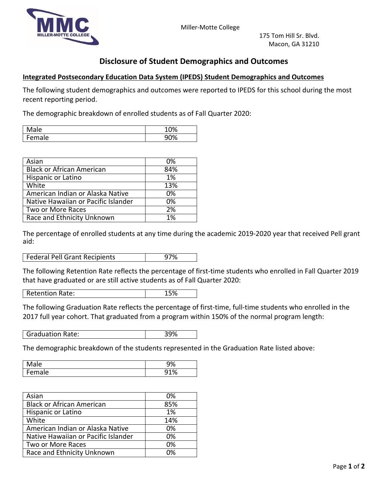



## **Disclosure of Student Demographics and Outcomes**

## **Integrated Postsecondary Education Data System (IPEDS) Student Demographics and Outcomes**

The following student demographics and outcomes were reported to IPEDS for this school during the most recent reporting period.

The demographic breakdown of enrolled students as of Fall Quarter 2020:

| ۰ρ            | 100/        |
|---------------|-------------|
| <b>IVIGIC</b> | 70          |
| -<br>ale<br>◡ | α∩જ્<br>7 U |

| Asian                               | 0%  |
|-------------------------------------|-----|
| <b>Black or African American</b>    | 84% |
| Hispanic or Latino                  | 1%  |
| White                               | 13% |
| American Indian or Alaska Native    | 0%  |
| Native Hawaiian or Pacific Islander | 0%  |
| Two or More Races                   | 2%  |
| Race and Ethnicity Unknown          | 1%  |

The percentage of enrolled students at any time during the academic 2019-2020 year that received Pell grant aid:

| Federal Pell Grant Recipients<br>97% |
|--------------------------------------|
|--------------------------------------|

The following Retention Rate reflects the percentage of first-time students who enrolled in Fall Quarter 2019 that have graduated or are still active students as of Fall Quarter 2020:

Retention Rate: 15%

The following Graduation Rate reflects the percentage of first-time, full-time students who enrolled in the 2017 full year cohort. That graduated from a program within 150% of the normal program length:

Graduation Rate: 29%

The demographic breakdown of the students represented in the Graduation Rate listed above:

| ۰ρ.                        | $\sim$     |
|----------------------------|------------|
| <b>IVIGIC</b>              | 70         |
| $\blacksquare$<br>ale<br>◡ | 010/<br>ึ∪ |

| Asian                               | 0%  |
|-------------------------------------|-----|
| <b>Black or African American</b>    | 85% |
| Hispanic or Latino                  | 1%  |
| White                               | 14% |
| American Indian or Alaska Native    | 0%  |
| Native Hawaiian or Pacific Islander | 0%  |
| Two or More Races                   | 0%  |
| Race and Ethnicity Unknown          | በ%  |